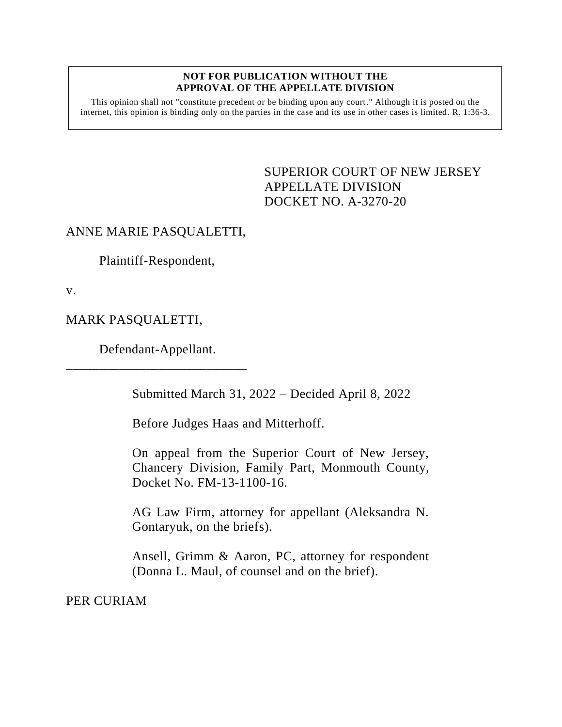## **NOT FOR PUBLICATION WITHOUT THE APPROVAL OF THE APPELLATE DIVISION**

This opinion shall not "constitute precedent or be binding upon any court." Although it is posted on the internet, this opinion is binding only on the parties in the case and its use in other cases is limited. R. 1:36-3.

> <span id="page-0-0"></span>SUPERIOR COURT OF NEW JERSEY APPELLATE DIVISION DOCKET NO. A-3270-20

## ANNE MARIE PASQUALETTI,

Plaintiff-Respondent,

v.

MARK PASQUALETTI,

Defendant-Appellant. \_\_\_\_\_\_\_\_\_\_\_\_\_\_\_\_\_\_\_\_\_\_\_\_\_\_\_

Submitted March 31, 2022 – Decided April 8, 2022

Before Judges Haas and Mitterhoff.

On appeal from the Superior Court of New Jersey, Chancery Division, Family Part, Monmouth County, Docket No. FM-13-1100-16.

AG Law Firm, attorney for appellant (Aleksandra N. Gontaryuk, on the briefs).

Ansell, Grimm & Aaron, PC, attorney for respondent (Donna L. Maul, of counsel and on the brief).

PER CURIAM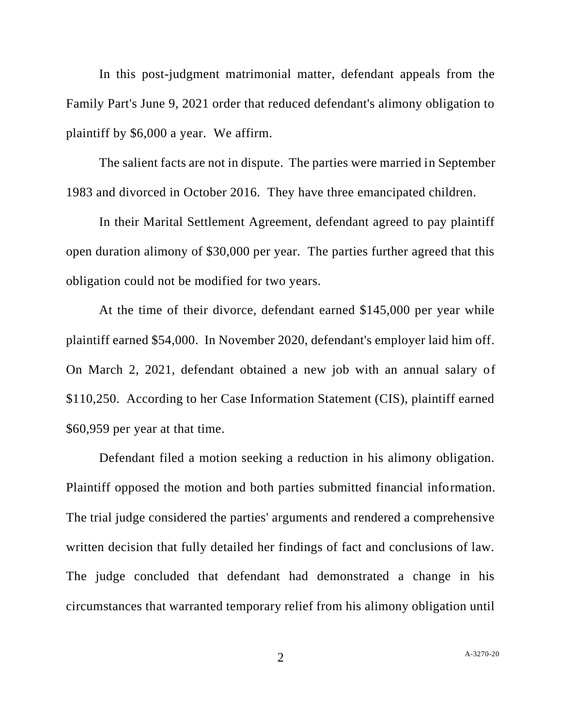In this post-judgment matrimonial matter, defendant appeals from the Family Part's June 9, 2021 order that reduced defendant's alimony obligation to plaintiff by \$6,000 a year. We affirm.

The salient facts are not in dispute. The parties were married in September 1983 and divorced in October 2016. They have three emancipated children.

In their Marital Settlement Agreement, defendant agreed to pay plaintiff open duration alimony of \$30,000 per year. The parties further agreed that this obligation could not be modified for two years.

At the time of their divorce, defendant earned \$145,000 per year while plaintiff earned \$54,000. In November 2020, defendant's employer laid him off. On March 2, 2021, defendant obtained a new job with an annual salary of \$110,250. According to her Case Information Statement (CIS), plaintiff earned \$60,959 per year at that time.

Defendant filed a motion seeking a reduction in his alimony obligation. Plaintiff opposed the motion and both parties submitted financial information. The trial judge considered the parties' arguments and rendered a comprehensive written decision that fully detailed her findings of fact and conclusions of law. The judge concluded that defendant had demonstrated a change in his circumstances that warranted temporary relief from his alimony obligation until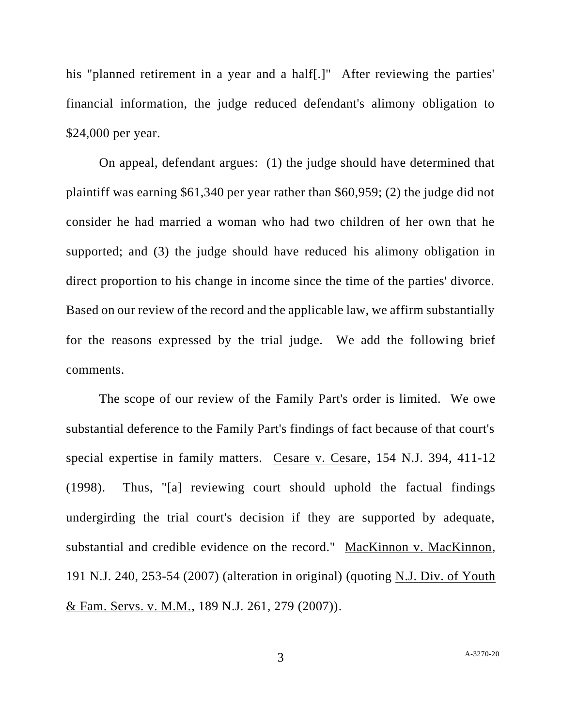his "planned retirement in a year and a half<sup>[1]</sup>" After reviewing the parties' financial information, the judge reduced defendant's alimony obligation to \$24,000 per year.

On appeal, defendant argues: (1) the judge should have determined that plaintiff was earning \$61,340 per year rather than \$60,959; (2) the judge did not consider he had married a woman who had two children of her own that he supported; and (3) the judge should have reduced his alimony obligation in direct proportion to his change in income since the time of the parties' divorce. Based on our review of the record and the applicable law, we affirm substantially for the reasons expressed by the trial judge. We add the following brief comments.

The scope of our review of the Family Part's order is limited. We owe substantial deference to the Family Part's findings of fact because of that court's special expertise in family matters. Cesare v. Cesare, 154 N.J. 394, 411-12 (1998). Thus, "[a] reviewing court should uphold the factual findings undergirding the trial court's decision if they are supported by adequate, substantial and credible evidence on the record." MacKinnon v. MacKinnon, 191 N.J. 240, 253-54 (2007) (alteration in original) (quoting N.J. Div. of Youth & Fam. Servs. v. M.M., 189 N.J. 261, 279 (2007)).

3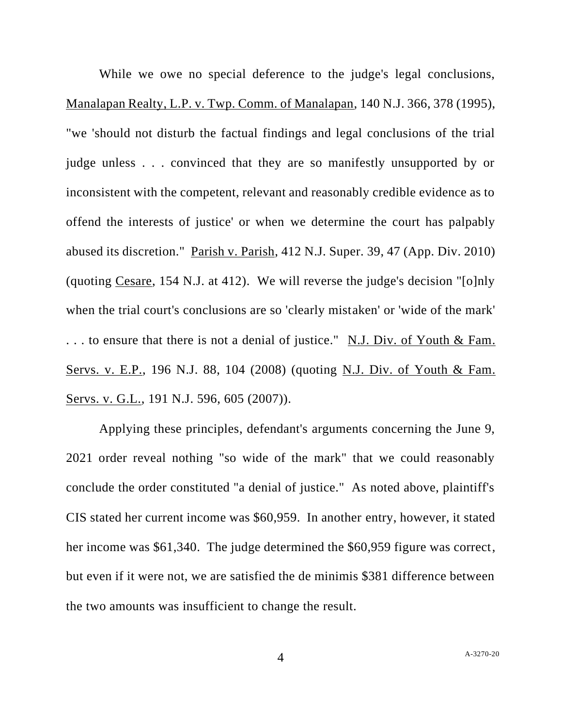While we owe no special deference to the judge's legal conclusions, Manalapan Realty, L.P. v. Twp. Comm. of Manalapan, 140 N.J. 366, 378 (1995), "we 'should not disturb the factual findings and legal conclusions of the trial judge unless . . . convinced that they are so manifestly unsupported by or inconsistent with the competent, relevant and reasonably credible evidence as to offend the interests of justice' or when we determine the court has palpably abused its discretion." Parish v. Parish, 412 N.J. Super. 39, 47 (App. Div. 2010) (quoting Cesare, 154 N.J. at 412). We will reverse the judge's decision "[o]nly when the trial court's conclusions are so 'clearly mistaken' or 'wide of the mark' . . . to ensure that there is not a denial of justice." N.J. Div. of Youth & Fam. Servs. v. E.P., 196 N.J. 88, 104 (2008) (quoting N.J. Div. of Youth & Fam. Servs. v. G.L., 191 N.J. 596, 605 (2007)).

Applying these principles, defendant's arguments concerning the June 9, 2021 order reveal nothing "so wide of the mark" that we could reasonably conclude the order constituted "a denial of justice." As noted above, plaintiff's CIS stated her current income was \$60,959. In another entry, however, it stated her income was \$61,340. The judge determined the \$60,959 figure was correct, but even if it were not, we are satisfied the de minimis \$381 difference between the two amounts was insufficient to change the result.